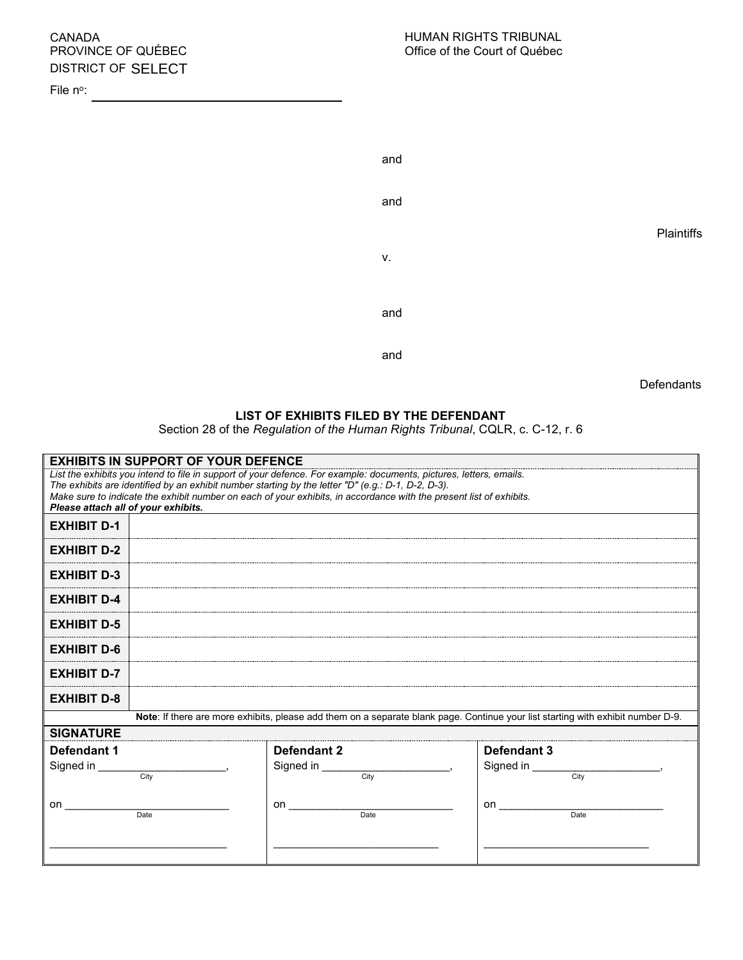## CANADA PROVINCE OF QUÉBEC DISTRICT OF SELECT

File n°:

| and |            |
|-----|------------|
| and |            |
|     | Plaintiffs |
| V.  |            |
| and |            |
| and |            |

**Defendants** 

## **LIST OF EXHIBITS FILED BY THE DEFENDANT**

Section 28 of the *Regulation of the Human Rights Tribunal*, CQLR, c. C-12, r. 6

| <b>EXHIBITS IN SUPPORT OF YOUR DEFENCE</b>                                                                                                                                                                                         |                   |                   |  |  |
|------------------------------------------------------------------------------------------------------------------------------------------------------------------------------------------------------------------------------------|-------------------|-------------------|--|--|
| List the exhibits you intend to file in support of your defence. For example: documents, pictures, letters, emails.<br>The exhibits are identified by an exhibit number starting by the letter "D" (e.g.: $D-1$ , $D-2$ , $D-3$ ). |                   |                   |  |  |
| Make sure to indicate the exhibit number on each of your exhibits, in accordance with the present list of exhibits.<br>Please attach all of your exhibits.                                                                         |                   |                   |  |  |
| <b>EXHIBIT D-1</b>                                                                                                                                                                                                                 |                   |                   |  |  |
| <b>EXHIBIT D-2</b>                                                                                                                                                                                                                 |                   |                   |  |  |
| <b>EXHIBIT D-3</b>                                                                                                                                                                                                                 |                   |                   |  |  |
| <b>EXHIBIT D-4</b>                                                                                                                                                                                                                 |                   |                   |  |  |
| <b>EXHIBIT D-5</b>                                                                                                                                                                                                                 |                   |                   |  |  |
| <b>EXHIBIT D-6</b>                                                                                                                                                                                                                 |                   |                   |  |  |
| <b>EXHIBIT D-7</b>                                                                                                                                                                                                                 |                   |                   |  |  |
| <b>EXHIBIT D-8</b>                                                                                                                                                                                                                 |                   |                   |  |  |
| Note: If there are more exhibits, please add them on a separate blank page. Continue your list starting with exhibit number D-9.                                                                                                   |                   |                   |  |  |
| <b>SIGNATURE</b>                                                                                                                                                                                                                   |                   |                   |  |  |
| Defendant 1                                                                                                                                                                                                                        | Defendant 2       | Defendant 3       |  |  |
| Signed in<br>City                                                                                                                                                                                                                  | Signed in<br>Citv | Signed in<br>Citv |  |  |
| on                                                                                                                                                                                                                                 | on                | on                |  |  |
| Date                                                                                                                                                                                                                               | Date              | Date              |  |  |
|                                                                                                                                                                                                                                    |                   |                   |  |  |
|                                                                                                                                                                                                                                    |                   |                   |  |  |